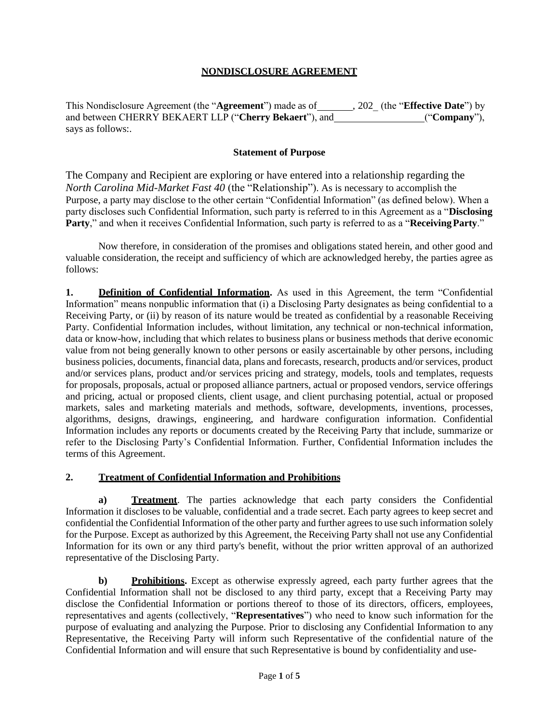### **NONDISCLOSURE AGREEMENT**

This Nondisclosure Agreement (the "**Agreement**") made as of , 202\_ (the "**Effective Date**") by and between CHERRY BEKAERT LLP ("**Cherry Bekaert**"), and ("**Company**"), says as follows:.

#### **Statement of Purpose**

The Company and Recipient are exploring or have entered into a relationship regarding the *North Carolina Mid-Market Fast 40* (the "Relationship"). As is necessary to accomplish the Purpose, a party may disclose to the other certain "Confidential Information" (as defined below). When a party discloses such Confidential Information, such party is referred to in this Agreement as a "**Disclosing Party**," and when it receives Confidential Information, such party is referred to as a "**Receiving Party**."

Now therefore, in consideration of the promises and obligations stated herein, and other good and valuable consideration, the receipt and sufficiency of which are acknowledged hereby, the parties agree as follows:

**1. Definition of Confidential Information.** As used in this Agreement, the term "Confidential Information" means nonpublic information that (i) a Disclosing Party designates as being confidential to a Receiving Party, or (ii) by reason of its nature would be treated as confidential by a reasonable Receiving Party. Confidential Information includes, without limitation, any technical or non-technical information, data or know-how, including that which relates to business plans or business methods that derive economic value from not being generally known to other persons or easily ascertainable by other persons, including business policies, documents, financial data, plans and forecasts, research, products and/or services, product and/or services plans, product and/or services pricing and strategy, models, tools and templates, requests for proposals, proposals, actual or proposed alliance partners, actual or proposed vendors, service offerings and pricing, actual or proposed clients, client usage, and client purchasing potential, actual or proposed markets, sales and marketing materials and methods, software, developments, inventions, processes, algorithms, designs, drawings, engineering, and hardware configuration information. Confidential Information includes any reports or documents created by the Receiving Party that include, summarize or refer to the Disclosing Party's Confidential Information. Further, Confidential Information includes the terms of this Agreement.

#### **2. Treatment of Confidential Information and Prohibitions**

**a) Treatment**. The parties acknowledge that each party considers the Confidential Information it discloses to be valuable, confidential and a trade secret. Each party agrees to keep secret and confidential the Confidential Information of the other party and further agrees to use such information solely for the Purpose. Except as authorized by this Agreement, the Receiving Party shall not use any Confidential Information for its own or any third party's benefit, without the prior written approval of an authorized representative of the Disclosing Party.

**b) Prohibitions.** Except as otherwise expressly agreed, each party further agrees that the Confidential Information shall not be disclosed to any third party, except that a Receiving Party may disclose the Confidential Information or portions thereof to those of its directors, officers, employees, representatives and agents (collectively, "**Representatives**") who need to know such information for the purpose of evaluating and analyzing the Purpose. Prior to disclosing any Confidential Information to any Representative, the Receiving Party will inform such Representative of the confidential nature of the Confidential Information and will ensure that such Representative is bound by confidentiality and use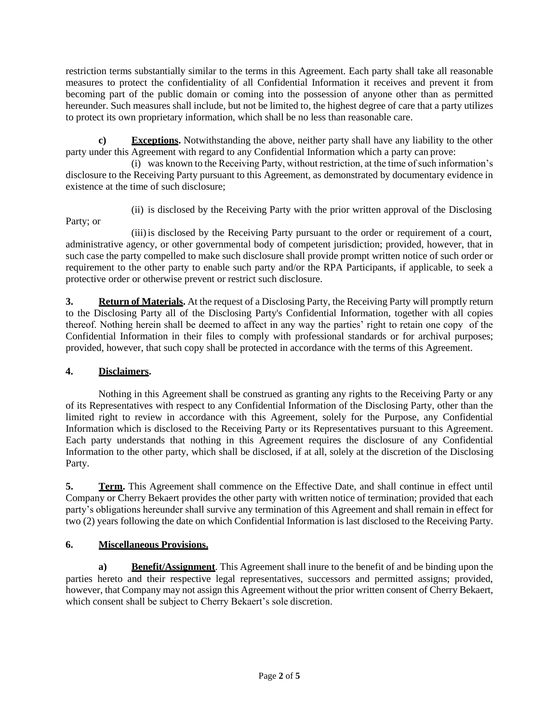restriction terms substantially similar to the terms in this Agreement. Each party shall take all reasonable measures to protect the confidentiality of all Confidential Information it receives and prevent it from becoming part of the public domain or coming into the possession of anyone other than as permitted hereunder. Such measures shall include, but not be limited to, the highest degree of care that a party utilizes to protect its own proprietary information, which shall be no less than reasonable care.

**c) Exceptions.** Notwithstanding the above, neither party shall have any liability to the other party under this Agreement with regard to any Confidential Information which a party can prove:

(i) was known to the Receiving Party, without restriction, at the time of such information's disclosure to the Receiving Party pursuant to this Agreement, as demonstrated by documentary evidence in existence at the time of such disclosure;

Party; or

(ii) is disclosed by the Receiving Party with the prior written approval of the Disclosing

(iii)is disclosed by the Receiving Party pursuant to the order or requirement of a court, administrative agency, or other governmental body of competent jurisdiction; provided, however, that in such case the party compelled to make such disclosure shall provide prompt written notice of such order or requirement to the other party to enable such party and/or the RPA Participants, if applicable, to seek a protective order or otherwise prevent or restrict such disclosure.

**3. Return of Materials.** At the request of a Disclosing Party, the Receiving Party will promptly return to the Disclosing Party all of the Disclosing Party's Confidential Information, together with all copies thereof. Nothing herein shall be deemed to affect in any way the parties' right to retain one copy of the Confidential Information in their files to comply with professional standards or for archival purposes; provided, however, that such copy shall be protected in accordance with the terms of this Agreement.

## **4. Disclaimers.**

Nothing in this Agreement shall be construed as granting any rights to the Receiving Party or any of its Representatives with respect to any Confidential Information of the Disclosing Party, other than the limited right to review in accordance with this Agreement, solely for the Purpose, any Confidential Information which is disclosed to the Receiving Party or its Representatives pursuant to this Agreement. Each party understands that nothing in this Agreement requires the disclosure of any Confidential Information to the other party, which shall be disclosed, if at all, solely at the discretion of the Disclosing Party.

**5. Term.** This Agreement shall commence on the Effective Date, and shall continue in effect until Company or Cherry Bekaert provides the other party with written notice of termination; provided that each party's obligations hereunder shall survive any termination of this Agreement and shall remain in effect for two (2) years following the date on which Confidential Information is last disclosed to the Receiving Party.

# **6. Miscellaneous Provisions.**

**a) Benefit/Assignment**. This Agreement shall inure to the benefit of and be binding upon the parties hereto and their respective legal representatives, successors and permitted assigns; provided, however, that Company may not assign this Agreement without the prior written consent of Cherry Bekaert, which consent shall be subject to Cherry Bekaert's sole discretion.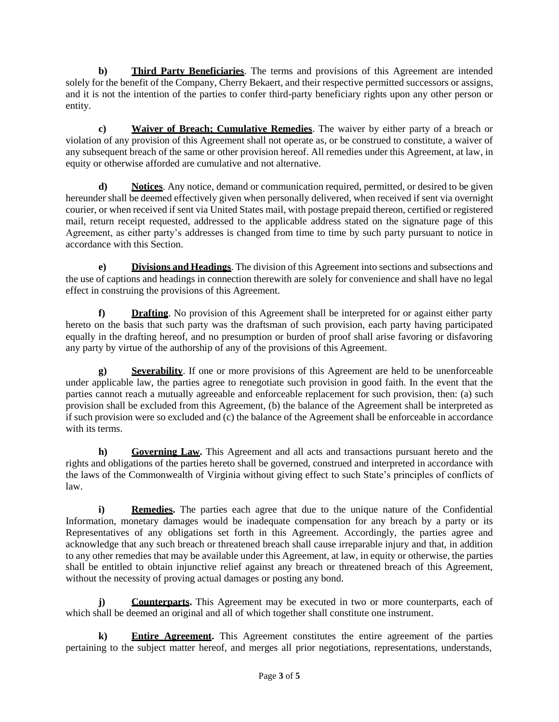**b) Third Party Beneficiaries**. The terms and provisions of this Agreement are intended solely for the benefit of the Company, Cherry Bekaert, and their respective permitted successors or assigns, and it is not the intention of the parties to confer third-party beneficiary rights upon any other person or entity.

**c) Waiver of Breach; Cumulative Remedies**. The waiver by either party of a breach or violation of any provision of this Agreement shall not operate as, or be construed to constitute, a waiver of any subsequent breach of the same or other provision hereof. All remedies under this Agreement, at law, in equity or otherwise afforded are cumulative and not alternative.

**d) Notices**. Any notice, demand or communication required, permitted, or desired to be given hereunder shall be deemed effectively given when personally delivered, when received if sent via overnight courier, or when received if sent via United States mail, with postage prepaid thereon, certified or registered mail, return receipt requested, addressed to the applicable address stated on the signature page of this Agreement, as either party's addresses is changed from time to time by such party pursuant to notice in accordance with this Section.

**e) Divisions and Headings**. The division of this Agreement into sections and subsections and the use of captions and headings in connection therewith are solely for convenience and shall have no legal effect in construing the provisions of this Agreement.

**f) Drafting**. No provision of this Agreement shall be interpreted for or against either party hereto on the basis that such party was the draftsman of such provision, each party having participated equally in the drafting hereof, and no presumption or burden of proof shall arise favoring or disfavoring any party by virtue of the authorship of any of the provisions of this Agreement.

**g) Severability**. If one or more provisions of this Agreement are held to be unenforceable under applicable law, the parties agree to renegotiate such provision in good faith. In the event that the parties cannot reach a mutually agreeable and enforceable replacement for such provision, then: (a) such provision shall be excluded from this Agreement, (b) the balance of the Agreement shall be interpreted as if such provision were so excluded and (c) the balance of the Agreement shall be enforceable in accordance with its terms.

**h) Governing Law.** This Agreement and all acts and transactions pursuant hereto and the rights and obligations of the parties hereto shall be governed, construed and interpreted in accordance with the laws of the Commonwealth of Virginia without giving effect to such State's principles of conflicts of law.

**i) Remedies.** The parties each agree that due to the unique nature of the Confidential Information, monetary damages would be inadequate compensation for any breach by a party or its Representatives of any obligations set forth in this Agreement. Accordingly, the parties agree and acknowledge that any such breach or threatened breach shall cause irreparable injury and that, in addition to any other remedies that may be available under this Agreement, at law, in equity or otherwise, the parties shall be entitled to obtain injunctive relief against any breach or threatened breach of this Agreement, without the necessity of proving actual damages or posting any bond.

**j) Counterparts.** This Agreement may be executed in two or more counterparts, each of which shall be deemed an original and all of which together shall constitute one instrument.

**k) Entire Agreement.** This Agreement constitutes the entire agreement of the parties pertaining to the subject matter hereof, and merges all prior negotiations, representations, understands,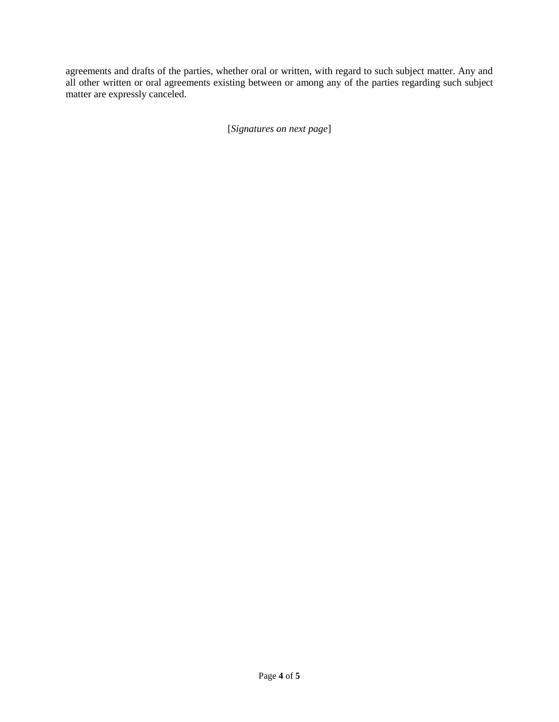agreements and drafts of the parties, whether oral or written, with regard to such subject matter. Any and all other written or oral agreements existing between or among any of the parties regarding such subject matter are expressly canceled.

[*Signatures on next page*]